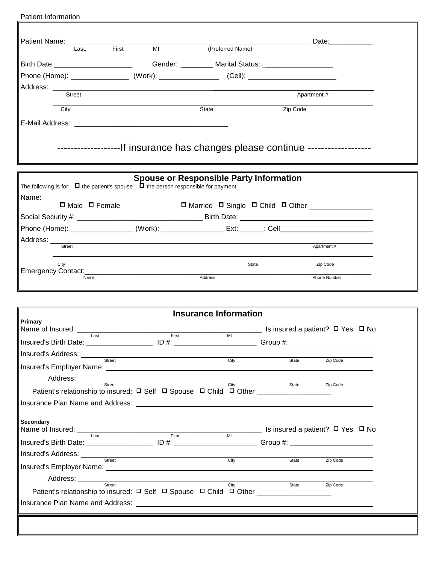| Patient Information                                                                                                                                                                                                                                                                                                                                                                                                                                                          |                   |                                                                     |          |                                                                                                                          |
|------------------------------------------------------------------------------------------------------------------------------------------------------------------------------------------------------------------------------------------------------------------------------------------------------------------------------------------------------------------------------------------------------------------------------------------------------------------------------|-------------------|---------------------------------------------------------------------|----------|--------------------------------------------------------------------------------------------------------------------------|
| Patient Name: 2000                                                                                                                                                                                                                                                                                                                                                                                                                                                           |                   |                                                                     |          | Date: Date:                                                                                                              |
| Last.                                                                                                                                                                                                                                                                                                                                                                                                                                                                        | <b>First</b><br>M |                                                                     |          |                                                                                                                          |
| Birth Date _________________________________Gender: ___________Marital Status: ____________________                                                                                                                                                                                                                                                                                                                                                                          |                   |                                                                     |          |                                                                                                                          |
| Phone (Home): ___________________ (Work): _________________ (Cell): ________________________________                                                                                                                                                                                                                                                                                                                                                                         |                   |                                                                     |          |                                                                                                                          |
|                                                                                                                                                                                                                                                                                                                                                                                                                                                                              |                   |                                                                     |          |                                                                                                                          |
|                                                                                                                                                                                                                                                                                                                                                                                                                                                                              |                   |                                                                     |          | Apartment #                                                                                                              |
| City                                                                                                                                                                                                                                                                                                                                                                                                                                                                         |                   | State                                                               | Zip Code |                                                                                                                          |
|                                                                                                                                                                                                                                                                                                                                                                                                                                                                              |                   |                                                                     |          |                                                                                                                          |
| -------------------------------If insurance has changes please continue ---------------------------                                                                                                                                                                                                                                                                                                                                                                          |                   |                                                                     |          |                                                                                                                          |
| The following is for: $\Box$ the patient's spouse $\Box$ the person responsible for payment                                                                                                                                                                                                                                                                                                                                                                                  |                   | <b>Spouse or Responsible Party Information</b>                      |          |                                                                                                                          |
| Name: □ Male □ Female □ □ Married □ Single □ Child □ Other □                                                                                                                                                                                                                                                                                                                                                                                                                 |                   |                                                                     |          |                                                                                                                          |
|                                                                                                                                                                                                                                                                                                                                                                                                                                                                              |                   |                                                                     |          |                                                                                                                          |
| Phone (Home): ______________________(Work): ____________________Ext: _______: Cell____________________________                                                                                                                                                                                                                                                                                                                                                               |                   |                                                                     |          |                                                                                                                          |
| Address: Street                                                                                                                                                                                                                                                                                                                                                                                                                                                              |                   | <u> 1980 - Andrea Station Barbara, amerikan personal (h. 1980).</u> |          | Apartment #                                                                                                              |
|                                                                                                                                                                                                                                                                                                                                                                                                                                                                              |                   |                                                                     |          |                                                                                                                          |
|                                                                                                                                                                                                                                                                                                                                                                                                                                                                              |                   |                                                                     |          |                                                                                                                          |
| City                                                                                                                                                                                                                                                                                                                                                                                                                                                                         |                   |                                                                     | State    | Zip Code                                                                                                                 |
| Name                                                                                                                                                                                                                                                                                                                                                                                                                                                                         |                   | Address                                                             |          | Phone Number                                                                                                             |
|                                                                                                                                                                                                                                                                                                                                                                                                                                                                              |                   |                                                                     |          |                                                                                                                          |
|                                                                                                                                                                                                                                                                                                                                                                                                                                                                              |                   | <b>Insurance Information</b>                                        |          |                                                                                                                          |
| Primary                                                                                                                                                                                                                                                                                                                                                                                                                                                                      |                   |                                                                     |          |                                                                                                                          |
| Name of Insured: __                                                                                                                                                                                                                                                                                                                                                                                                                                                          | First             | MI                                                                  |          | $\_$ Is insured a patient? $□$ Yes $□$ No                                                                                |
|                                                                                                                                                                                                                                                                                                                                                                                                                                                                              |                   |                                                                     |          |                                                                                                                          |
| Street                                                                                                                                                                                                                                                                                                                                                                                                                                                                       |                   | City                                                                | State    | Zip Code                                                                                                                 |
|                                                                                                                                                                                                                                                                                                                                                                                                                                                                              |                   |                                                                     |          |                                                                                                                          |
| Address: <u>Street City City</u>                                                                                                                                                                                                                                                                                                                                                                                                                                             |                   |                                                                     | State    | Zip Code                                                                                                                 |
| Patient's relationship to insured: □ Self □ Spouse □ Child □ Other ______________                                                                                                                                                                                                                                                                                                                                                                                            |                   |                                                                     |          |                                                                                                                          |
|                                                                                                                                                                                                                                                                                                                                                                                                                                                                              |                   |                                                                     |          |                                                                                                                          |
| <b>Secondary</b>                                                                                                                                                                                                                                                                                                                                                                                                                                                             |                   |                                                                     |          |                                                                                                                          |
|                                                                                                                                                                                                                                                                                                                                                                                                                                                                              | First             | MI                                                                  |          | <u>No all Solive and Solidan and Solive and Solidan and Solive and Solidan and Solive and Solive and Solive and Soli</u> |
| Name of Insured: Last<br>Insured's Birth Date: _____________________________ ID #: _____________________________Group #: ______________                                                                                                                                                                                                                                                                                                                                      |                   |                                                                     |          |                                                                                                                          |
|                                                                                                                                                                                                                                                                                                                                                                                                                                                                              |                   | City                                                                | State    | Zip Code                                                                                                                 |
| Insurance Plan Name and Address: <b>contract and a set of the set of the set of the set of the set of the set of the set of the set of the set of the set of the set of the set of the set of the set of the set of the set of t</b><br>Insured's Address: <u>with street and the street and the street and the street and the street and the street and the street and the street and the street and the street and the street and the street and the street and the st</u> |                   |                                                                     |          |                                                                                                                          |
| Street<br>Patient's relationship to insured: □ Self □ Spouse □ Child □ Other ______________                                                                                                                                                                                                                                                                                                                                                                                  |                   | City                                                                | State    | Zip Code                                                                                                                 |